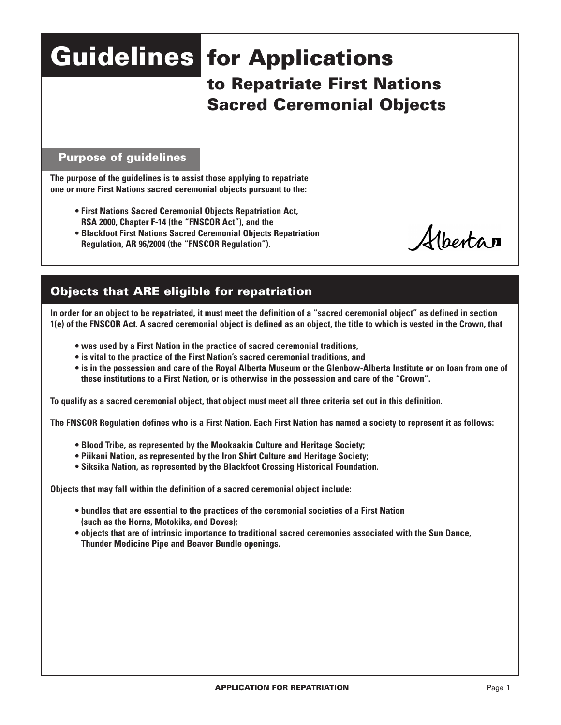# **Guidelines for Applications to Repatriate First Nations Sacred Ceremonial Objects**

### **Purpose of guidelines**

**The purpose of the guidelines is to assist those applying to repatriate one or more First Nations sacred ceremonial objects pursuant to the:**

- **First Nations Sacred Ceremonial Objects Repatriation Act, RSA 2000, Chapter F-14 (the "FNSCOR Act"), and the**
- **Blackfoot First Nations Sacred Ceremonial Objects Repatriation Regulation, AR 96/2004 (the "FNSCOR Regulation").**

Albertan

# **Objects that ARE eligible for repatriation**

**In order for an object to be repatriated, it must meet the definition of a "sacred ceremonial object" as defined in section 1(e) of the FNSCOR Act. A sacred ceremonial object is defined as an object, the title to which is vested in the Crown, that**

- **was used by a First Nation in the practice of sacred ceremonial traditions,**
- **is vital to the practice of the First Nation's sacred ceremonial traditions, and**
- **is in the possession and care of the Royal Alberta Museum or the Glenbow-Alberta Institute or on loan from one of these institutions to a First Nation, or is otherwise in the possession and care of the "Crown".**

**To qualify as a sacred ceremonial object, that object must meet all three criteria set out in this definition.**

**The FNSCOR Regulation defines who is a First Nation. Each First Nation has named a society to represent it as follows:**

- **Blood Tribe, as represented by the Mookaakin Culture and Heritage Society;**
- **Piikani Nation, as represented by the Iron Shirt Culture and Heritage Society;**
- **Siksika Nation, as represented by the Blackfoot Crossing Historical Foundation.**

**Objects that may fall within the definition of a sacred ceremonial object include:**

- **bundles that are essential to the practices of the ceremonial societies of a First Nation (such as the Horns, Motokiks, and Doves);**
- **objects that are of intrinsic importance to traditional sacred ceremonies associated with the Sun Dance, Thunder Medicine Pipe and Beaver Bundle openings.**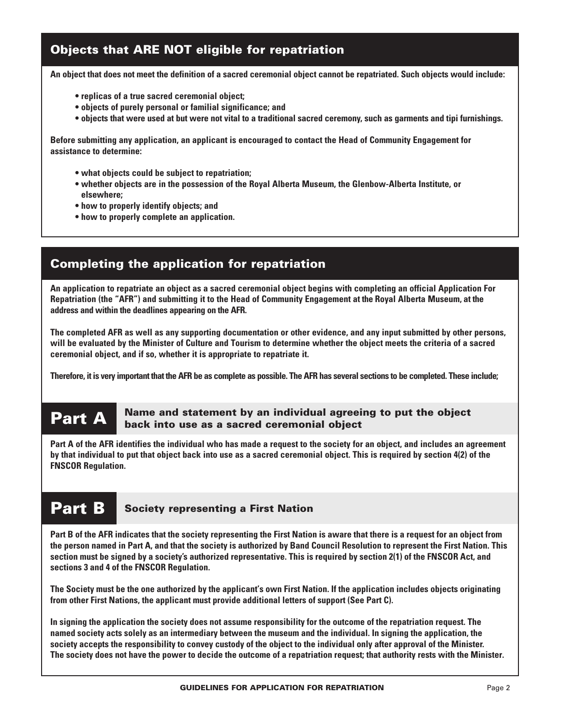## **Objects that ARE NOT eligible for repatriation**

**An object that does not meet the definition of a sacred ceremonial object cannot be repatriated. Such objects would include:**

- **replicas of a true sacred ceremonial object;**
- **objects of purely personal or familial significance; and**
- **objects that were used at but were not vital to a traditional sacred ceremony, such as garments and tipi furnishings.**

**Before submitting any application, an applicant is encouraged to contact the Head of Community Engagement for assistance to determine:**

- **what objects could be subject to repatriation;**
- **• whether objects are in the possession of the Royal Alberta Museum, the Glenbow-Alberta Institute, or elsewhere;**
- **how to properly identify objects; and**
- **how to properly complete an application.**

## **Completing the application for repatriation**

**An application to repatriate an object as a sacred ceremonial object begins with completing an official Application For Repatriation (the "AFR") and submitting it to the Head of Community Engagement at theRoyal Alberta Museum, atthe address and within the deadlines appearing on the AFR.**

**The completed AFR as well as any supporting documentation or other evidence, and any input submitted by other persons, will be evaluated by the Minister of Culture and Tourism to determine whether the object meets the criteria of a sacred ceremonial object, and if so, whether it is appropriate to repatriate it.**

**Therefore, it is very important that the AFR be as complete as possible. The AFR has several sections to be completed. These include;**

#### **Part A Name and statement by an individual agreeing to put the object back into use as a sacred ceremonial object**

**Part A of the AFR identifies the individual who has made a request to the society for an object, and includes an agreement by that individual to put that object back into use as a sacred ceremonial object. This is required by section 4(2) of the FNSCOR Regulation.**

# **Part B Society representing a First Nation**

**Part B of the AFR indicates that the society representing the First Nation is aware that there is a request for an object from the person named in Part A, and that the society is authorized by Band Council Resolution to represent the First Nation. This section must be signed by a society's authorized representative. This is required by section 2(1) of the FNSCOR Act, and sections 3 and 4 of the FNSCOR Regulation.** 

**The Society must be the one authorized by the applicant's own First Nation. If the application includes objects originating from other First Nations, the applicant must provide additional letters of support (See Part C).**

**In signing the application the society does not assume responsibility for the outcome of the repatriation request. The named society acts solely as an intermediary between the museum and the individual. In signing the application, the society accepts the responsibility to convey custody of the object to the individual only after approval of the Minister. The society does not have the power to decide the outcome of a repatriation request; that authority rests with the Minister.**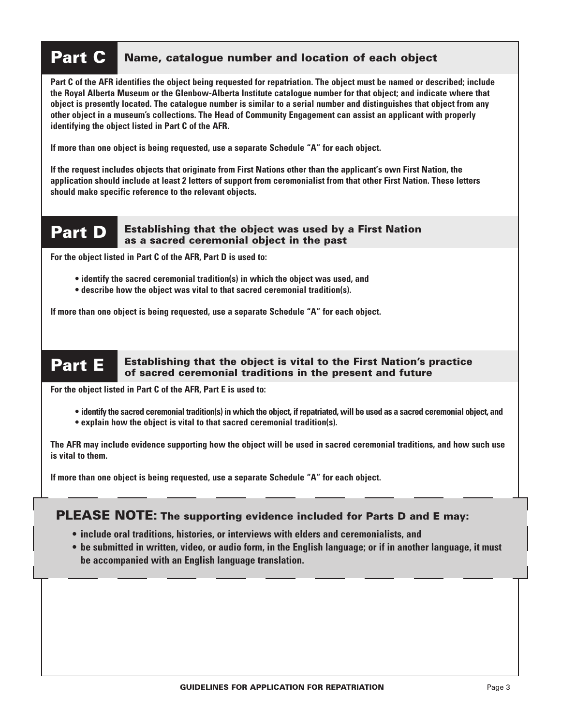# **Part C Name, catalogue number and location of each object**

**Part C of the AFR identifies the object being requested for repatriation. The object must be named or described; include the Royal Alberta Museum or the Glenbow-Alberta Institute catalogue number for that object; and indicate where that object is presently located. The catalogue number is similar to a serial number and distinguishes that object from any other object in a museum's collections. The Head of Community Engagement can assist an applicant with properly identifying the object listed in Part C of the AFR.** 

**If more than one object is being requested, use a separate Schedule "A" for each object.**

**If the request includes objects that originate from First Nations other than the applicant's own First Nation, the application should include at least 2 letters of support from ceremonialist from that other First Nation. These letters should make specific reference to the relevant objects.** 

#### **Part D Establishing that the object was used by a First Nation as a sacred ceremonial object in the past**

**For the object listed in Part C of the AFR, Part D is used to:**

- **identify the sacred ceremonial tradition(s) in which the object was used, and**
- **describe how the object was vital to that sacred ceremonial tradition(s).**

**If more than one object is being requested, use a separate Schedule "A" for each object.**

#### **Part E Establishing that the object is vital to the First Nation's practice of sacred ceremonial traditions in the present and future**

**For the object listed in Part C of the AFR, Part E is used to:**

- **identify the sacred ceremonial tradition(s) in which the object, if repatriated, will be used as a sacred ceremonial object, and**
- **explain how the object is vital to that sacred ceremonial tradition(s).**

**The AFR may include evidence supporting how the object will be used in sacred ceremonial traditions, and how such use is vital to them.**

**If more than one object is being requested, use a separate Schedule "A" for each object.** 

### **PLEASE NOTE: The supporting evidence included for Parts D and E may:**

- **include oral traditions, histories, or interviews with elders and ceremonialists, and**
- **be submitted in written, video, or audio form, in the English language; or if in another language, it must be accompanied with an English language translation.**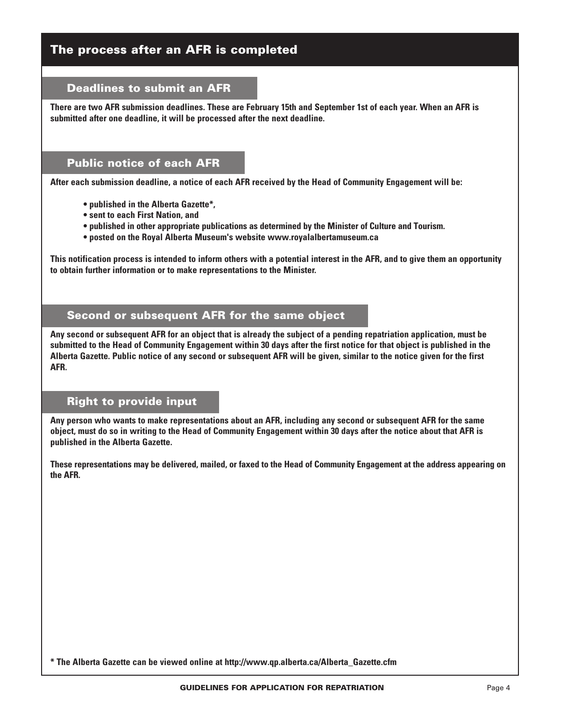### **The process after an AFR is completed**

#### **Deadlines to submit an AFR**

**There are two AFR submission deadlines. These are February 15th and September 1st of each year. When an AFR is submitted after one deadline, it will be processed after the next deadline.**

### **Public notice of each AFR**

**After each submission deadline, a notice of each AFR received by the Head of Community Engagement will be:**

- **published in the Alberta Gazette\*,**
- **sent to each First Nation, and**
- **• published in other appropriate publications as determined by the Minister of Culture and Tourism.**
- **posted on the Royal Alberta Museum's website www.royalalbertamuseum.ca**

**This notification process is intended to inform others with a potential interest in the AFR, and to give them an opportunity to obtain further information or to make representations to the Minister.**

#### **Second or subsequent AFR for the same object**

**Any second or subsequent AFR for an object that is already the subject of a pending repatriation application, must be submitted to the Head of Community Engagement within 30 days after the first notice for that object is published in the Alberta Gazette. Public notice of any second or subsequent AFR will be given, similar to the notice given for the first AFR.**

#### **Right to provide input**

**Any person who wants to make representations about an AFR, including any second or subsequent AFR for the same object, must do so in writing to the Head of Community Engagement within 30 days after the notice about that AFR is published in the Alberta Gazette.**

**These representations may be delivered, mailed, or faxed to the Head of Community Engagement at the address appearing on the AFR.**

**\* The Alberta Gazette can be viewed online at http://www.qp.alberta.ca/Alberta\_Gazette.cfm**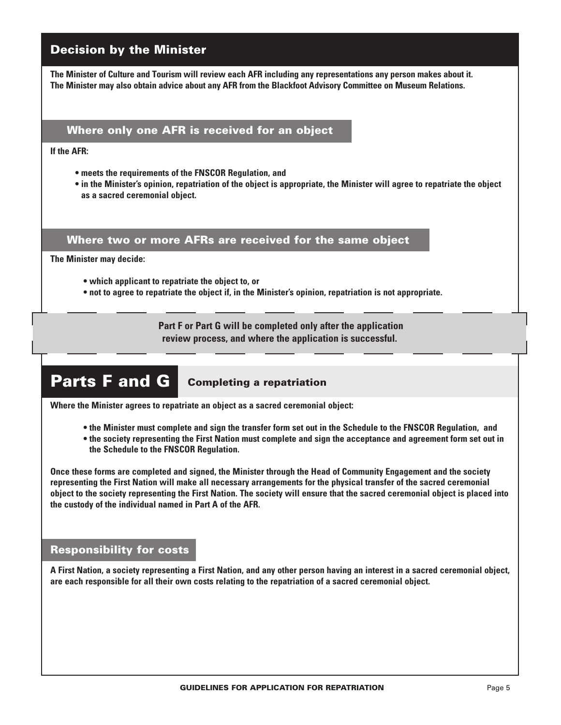## **Decision by the Minister**

**The Minister of Culture and Tourism will review each AFR including any representations any person makes about it. The Minister may also obtain advice about any AFR from the Blackfoot Advisory Committee on Museum Relations.**

### **Where only one AFR is received for an object**

**If the AFR:**

- **meets the requirements of the FNSCOR Regulation, and**
- **in the Minister's opinion, repatriation of the object is appropriate, the Minister will agree to repatriate the object as a sacred ceremonial object.**

#### **Where two or more AFRs are received for the same object**

**The Minister may decide:**

- **which applicant to repatriate the object to, or**
- **not to agree to repatriate the object if, in the Minister's opinion, repatriation is not appropriate.**

 **Part F or Part G will be completed only after the application review process, and where the application is successful.**

# **Parts F and G Completing a repatriation**

**Where the Minister agrees to repatriate an object as a sacred ceremonial object:**

- **the Minister must complete and sign the transfer form set out in the Schedule to the FNSCOR Regulation, and**
- **the society representing the First Nation must complete and sign the acceptance and agreement form set out in the Schedule to the FNSCOR Regulation.**

**Once these forms are completed and signed, the Minister through the Head of Community Engagement and the society representing the First Nation will make all necessary arrangements for the physical transfer of the sacred ceremonial object to the society representing the First Nation. The society will ensure that the sacred ceremonial object is placed into the custody of the individual named in Part A of the AFR.**

#### **Responsibility for costs**

**A First Nation, a society representing a First Nation, and any other person having an interest in a sacred ceremonial object, are each responsible for all their own costs relating to the repatriation of a sacred ceremonial object.**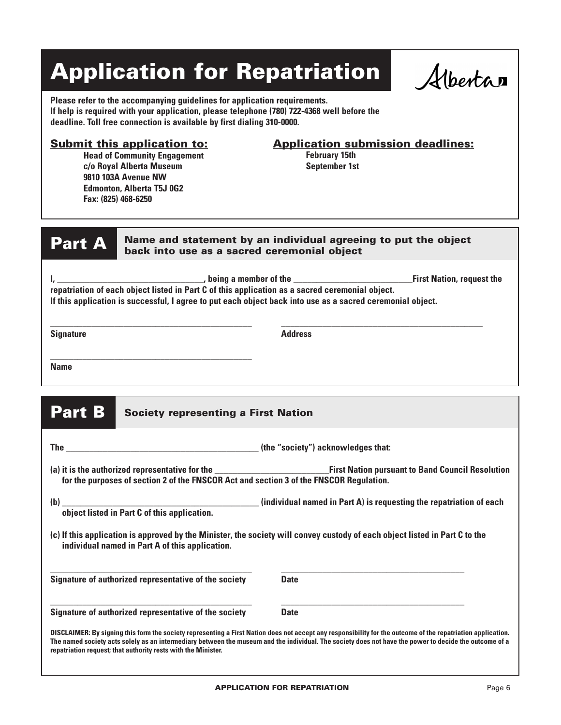# **Application for Repatriation**

Albertan

**Please refer to the accompanying guidelines for application requirements. If help is required with your application, please telephone (780) 722-4368 well before the deadline. Toll free connection is available by first dialing 310-0000.**

**Head of Community Engagement c/o Royal Alberta Museum 9810 103A Avenue NW Edmonton, Alberta T5J 0G2 Fax: (825) 468-6250**

### **Submit this application to: Application submission deadlines:**

**February 15th September 1st**

**Part A** Name and statement by an individual agreeing to put the object **back into use as a sacred ceremonial object** 

| , being a member of the                                                                                    | <b>First Nation, request the</b> |
|------------------------------------------------------------------------------------------------------------|----------------------------------|
| repatriation of each object listed in Part C of this application as a sacred ceremonial object.            |                                  |
| If this application is successful, I agree to put each object back into use as a sacred ceremonial object. |                                  |

**Signature Address**

**\_\_\_\_\_\_\_\_\_\_\_\_\_\_\_\_\_\_\_\_\_\_\_\_\_\_\_\_\_\_\_\_\_\_\_\_\_\_\_\_\_\_\_\_ \_\_\_\_\_\_\_\_\_\_\_\_\_\_\_\_\_\_\_\_\_\_\_\_\_\_\_\_\_\_\_\_\_\_\_\_\_\_\_\_\_\_\_\_**

**\_\_\_\_\_\_\_\_\_\_\_\_\_\_\_\_\_\_\_\_\_\_\_\_\_\_\_\_\_\_\_\_\_\_\_\_\_\_\_\_\_\_\_\_ Name**

## **Part B** Society representing a First Nation

|                                                                                         | (the "society") acknowledges that:                                                                                                                                                                                                                                                                                     |
|-----------------------------------------------------------------------------------------|------------------------------------------------------------------------------------------------------------------------------------------------------------------------------------------------------------------------------------------------------------------------------------------------------------------------|
| for the purposes of section 2 of the FNSCOR Act and section 3 of the FNSCOR Regulation. |                                                                                                                                                                                                                                                                                                                        |
| object listed in Part C of this application.                                            |                                                                                                                                                                                                                                                                                                                        |
| individual named in Part A of this application.                                         | (c) If this application is approved by the Minister, the society will convey custody of each object listed in Part C to the                                                                                                                                                                                            |
| Signature of authorized representative of the society                                   | <b>Date</b>                                                                                                                                                                                                                                                                                                            |
| Signature of authorized representative of the society                                   | <b>Date</b>                                                                                                                                                                                                                                                                                                            |
| repatriation request; that authority rests with the Minister.                           | DISCLAIMER: By signing this form the society representing a First Nation does not accept any responsibility for the outcome of the repatriation application.<br>The named society acts solely as an intermediary between the museum and the individual. The society does not have the power to decide the outcome of a |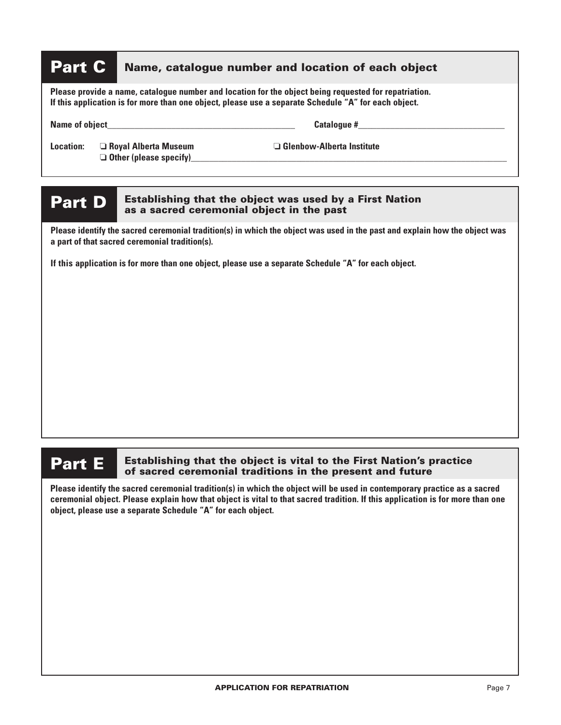# **Part C** Name, catalogue number and location of each object

**Please provide a name, catalogue number and location for the object being requested for repatriation. If this application is for more than one object, please use a separate Schedule "A" for each object.**

Name of object **Name of object** 

❏ **Other (please specify)\_\_\_\_\_\_\_\_\_\_\_\_\_\_\_\_\_\_\_\_\_\_\_\_\_\_\_\_\_\_\_\_\_\_\_\_\_\_\_\_\_\_\_\_\_\_\_\_\_\_\_\_\_\_\_\_\_\_\_\_\_\_\_\_\_\_\_\_\_**

**Location:** ❏ **Royal Alberta Museum** ❏ **Glenbow-Alberta Institute**

#### **Part D Establishing that the object was used by a First Nation as a sacred ceremonial object in the past**

**Please identify the sacred ceremonial tradition(s) in which the object was used in the past and explain how the object was a part of that sacred ceremonial tradition(s).** 

**If this application is for more than one object, please use a separate Schedule "A" for each object.**

#### **Part E Establishing that the object is vital to the First Nation's practice of sacred ceremonial traditions in the present and future**

**Please identify the sacred ceremonial tradition(s) in which the object will be used in contemporary practice as a sacred ceremonial object. Please explain how that object is vital to that sacred tradition. If this application is for more than one object, please use a separate Schedule "A" for each object.**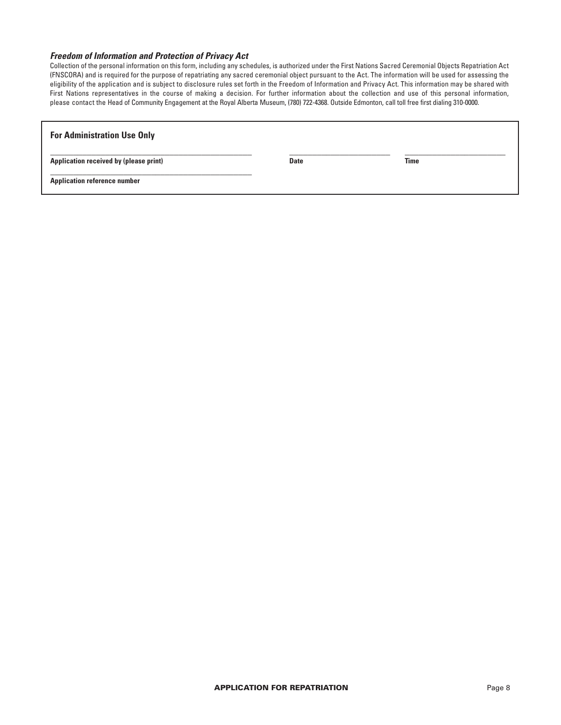#### *Freedom of Information and Protection of Privacy Act*

Collection of the personal information on this form, including any schedules, is authorized under the First Nations Sacred Ceremonial Objects Repatriation Act (FNSCORA) and is required for the purpose of repatriating any sacred ceremonial object pursuant to the Act. The information will be used for assessing the eligibility of the application and is subject to disclosure rules set forth in the Freedom of Information and Privacy Act. This information may be shared with First Nations representatives in the course of making a decision. For further information about the collection and use of this personal information, please contact the Head of Community Engagement at the Royal Alberta Museum, (780) 722-4368. Outside Edmonton, call toll free first dialing 310-0000.

| <b>For Administration Use Only</b>     |             |             |  |
|----------------------------------------|-------------|-------------|--|
| Application received by (please print) | <b>Date</b> | <b>Time</b> |  |
| <b>Application reference number</b>    |             |             |  |